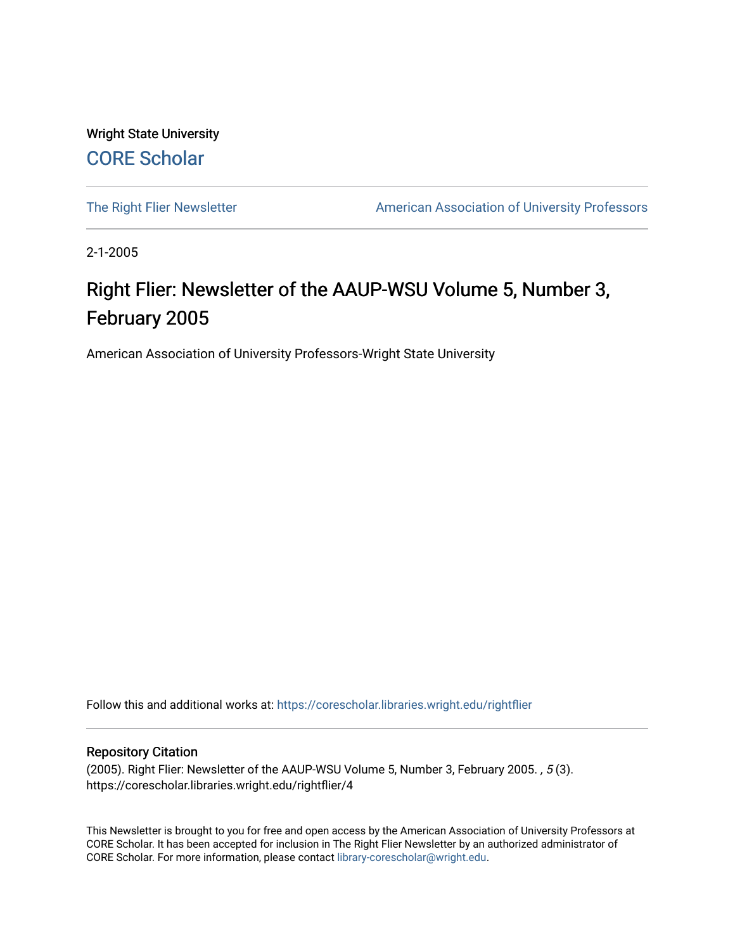Wright State University [CORE Scholar](https://corescholar.libraries.wright.edu/)

[The Right Flier Newsletter](https://corescholar.libraries.wright.edu/rightflier) **American Association of University Professors** 

2-1-2005

# Right Flier: Newsletter of the AAUP-WSU Volume 5, Number 3, February 2005

American Association of University Professors-Wright State University

Follow this and additional works at: [https://corescholar.libraries.wright.edu/rightflier](https://corescholar.libraries.wright.edu/rightflier?utm_source=corescholar.libraries.wright.edu%2Frightflier%2F4&utm_medium=PDF&utm_campaign=PDFCoverPages) 

#### Repository Citation

(2005). Right Flier: Newsletter of the AAUP-WSU Volume 5, Number 3, February 2005. , 5 (3). https://corescholar.libraries.wright.edu/rightflier/4

This Newsletter is brought to you for free and open access by the American Association of University Professors at CORE Scholar. It has been accepted for inclusion in The Right Flier Newsletter by an authorized administrator of CORE Scholar. For more information, please contact [library-corescholar@wright.edu](mailto:library-corescholar@wright.edu).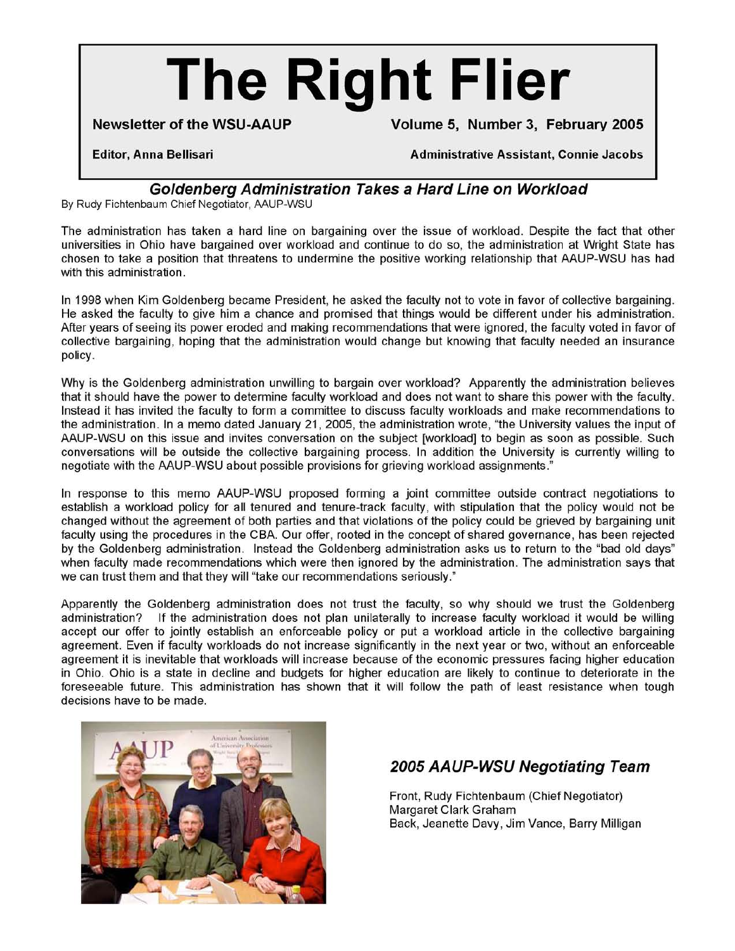# **The Right Flier**

**Newsletter of the WSU-AAUP Volume 5, Number 3, February 2005** 

Editor, Anna Bellisari Administrative Assistant, Connie Jacobs

# **Goldenberg Administration Takes a Hard Line on Workload**

By Rudy Fichtenbaum Chief Negotiator, AAUP-WSU

The administration has taken a hard line on bargaining over the issue of workload. Despite the fact that other universities in Ohio have bargained over workload and continue to do so, the administration at Wright State has chosen to take a position that threatens to undermine the positive working relationship that AAUP-WSU has had with this administration.

In 1998 when Kim Goldenberg became President, he asked the faculty not to vote in favor of collective bargaining. He asked the faculty to give him a chance and promised that things would be different under his administration. After years of seeing its power eroded and making recommendations that were ignored, the faculty voted in favor of collective bargaining, hoping that the administration would change but knowing that faculty needed an insurance policy.

Why is the Goldenberg administration unwilling to bargain over workload? Apparently the administration believes that it should have the power to determine faculty workload and does not want to share this power with the faculty. Instead it has invited the faculty to form a committee to discuss faculty workloads and make recommendations to the administration. In a memo dated January 21, 2005, the administration wrote, "the University values the input of AAUP-WSU on this issue and invites conversation on the subject [workload] to begin as soon as possible. Such conversations will be outside the collective bargaining process. In addition the University is currently willing to negotiate with the AAUP-WSU about possible provisions for grieving workload assignments."

In response to this memo AAUP-WSU proposed forming a joint committee outside contract negotiations to establish a workload policy for all tenured and tenure-track faculty, with stipulation that the policy would not be changed without the agreement of both parties and that violations of the policy could be grieved by bargaining unit faculty using the procedures in the CBA. Our offer, rooted in the concept of shared governance, has been rejected by the Goldenberg administration. Instead the Goldenberg administration asks us to return to the "bad old days" when faculty made recommendations which were then ignored by the administration. The administration says that we can trust them and that they will "take our recommendations seriously."

Apparently the Goldenberg administration does not trust the faculty, so why should we trust the Goldenberg administration? If the administration does not plan unilaterally to increase faculty workload it would be willing accept our offer to jointly establish an enforceable policy or put a workload article in the collective bargaining agreement. Even if faculty workloads do not increase significantly in the next year or two, without an enforceable agreement it is inevitable that workloads will increase because of the economic pressures facing higher education in Ohio. Ohio is a state in decline and budgets for higher education are likely to continue to deteriorate in the foreseeable future. This administration has shown that it will follow the path of least resistance when tough decisions have to be made.



# **2005 AAUP-WSU Negotiating Team**

Front, Rudy Fichtenbaum (Chief Negotiator) Margaret Clark Graham Back, Jeanette Davy, Jim Vance, Barry Milligan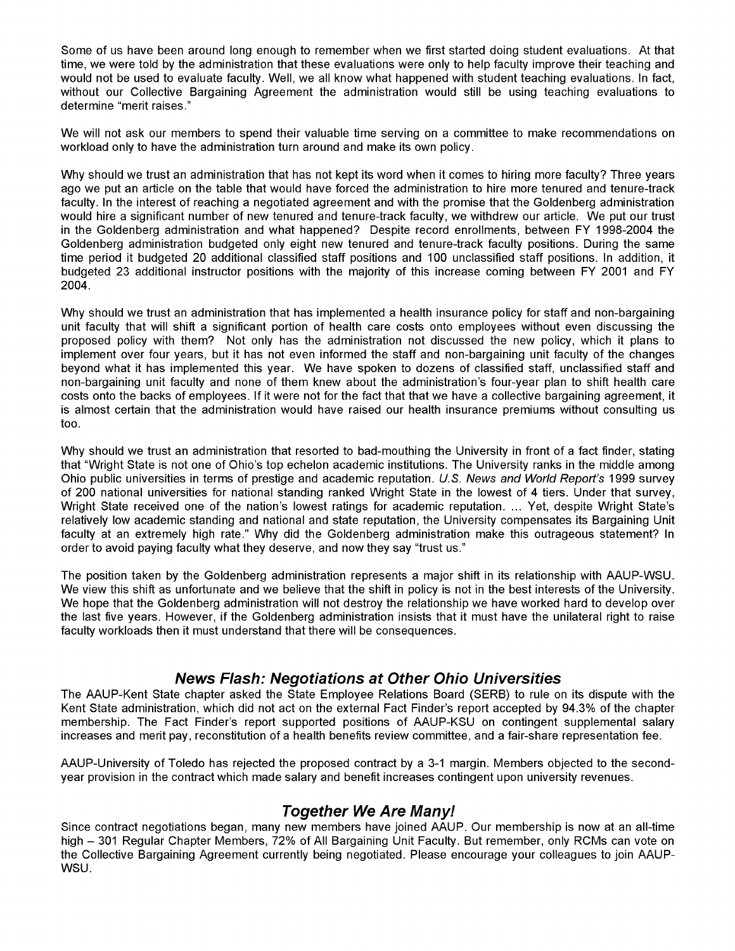Some of us have been around long enough to remember when we first started doing student evaluations. At that time, we were told by the administration that these evaluations were only to help faculty improve their teaching and would not be used to evaluate faculty. Well, we all know what happened with student teaching evaluations. In fact, without our Collective Bargaining Agreement the administration would still be using teaching evaluations to determine "merit raises."

We will not ask our members to spend their valuable time serving on a committee to make recommendations on workload only to have the administration turn around and make its own policy.

Why should we trust an administration that has not kept its word when it comes to hiring more faculty? Three years ago we put an article on the table that would have forced the administration to hire more tenured and tenure-track faculty. In the interest of reaching a negotiated agreement and with the promise that the Goldenberg administration would hire a significant number of new tenured and tenure-track faculty, we withdrew our article. We put our trust in the Goldenberg administration and what happened? Despite record enrollments, between FY 1998-2004 the Goldenberg administration budgeted only eight new tenured and tenure-track faculty positions. During the same time period it budgeted 20 additional classified staff positions and 100 unclassified staff positions. In addition, it budgeted 23 additional instructor positions with the majority of this increase coming between FY 2001 and FY 2004.

Why should we trust an administration that has implemented a health insurance policy for staff and non-bargaining unit faculty that will shift a significant portion of health care costs onto employees without even discussing the proposed policy with them? Not only has the administration not discussed the new policy, which it plans to implement over four years, but it has not even informed the staff and non-bargaining unit faculty of the changes beyond what it has implemented this year. We have spoken to dozens of classified staff, unclassified staff and non-bargaining unit faculty and none of them knew about the administration's four-year plan to shift health care costs onto the backs of employees. If it were not for the fact that that we have a collective bargaining agreement, it is almost certain that the administration would have raised our health insurance premiums without consulting us too.

Why should we trust an administration that resorted to bad-mouthing the University in front of a fact finder, stating that "Wright State is not one of Ohio's top echelon academic institutions. The University ranks in the middle among Ohio public universities in terms of prestige and academic reputation. U.S. News and World Report's 1999 survey of 200 national universities for national standing ranked Wright State in the lowest of 4 tiers. Under that survey, Wright State received one of the nation's lowest ratings for academic reputation .... Yet, despite Wright State's relatively low academic standing and national and state reputation, the University compensates its Bargaining Unit faculty at an extremely high rate." Why did the Goldenberg administration make this outrageous statement? In order to avoid paying faculty what they deserve, and now they say "trust us."

The position taken by the Goldenberg administration represents a major shift in its relationship with AAUP-WSU. We view this shift as unfortunate and we believe that the shift in policy is not in the best interests of the University. We hope that the Goldenberg administration will not destroy the relationship we have worked hard to develop over the last five years. However, if the Goldenberg administration insists that it must have the unilateral right to raise faculty workloads then it must understand that there will be consequences.

#### **News Flash: Negotiations at Other Ohio Universities**

The AAUP-Kent State chapter asked the State Employee Relations Board (SERB) to rule on its dispute with the Kent State administration, which did not act on the external Fact Finder's report accepted by 94.3% of the chapter membership. The Fact Finder's report supported positions of AAUP-KSU on contingent supplemental salary increases and merit pay, reconstitution of a health benefits review committee, and a fair-share representation fee.

AAUP-University of Toledo has rejected the proposed contract by a 3-1 margin. Members objected to the secondyear provision in the contract which made salary and benefit increases contingent upon university revenues.

#### **Together We Are Many!**

Since contract negotiations began, many new members have joined AAUP. Our membership is now at an all-time high - 301 Regular Chapter Members, 72% of All Bargaining Unit Faculty. But remember, only RCMs can vote on the Collective Bargaining Agreement currently being negotiated. Please encourage your colleagues to join AAUP-WSU.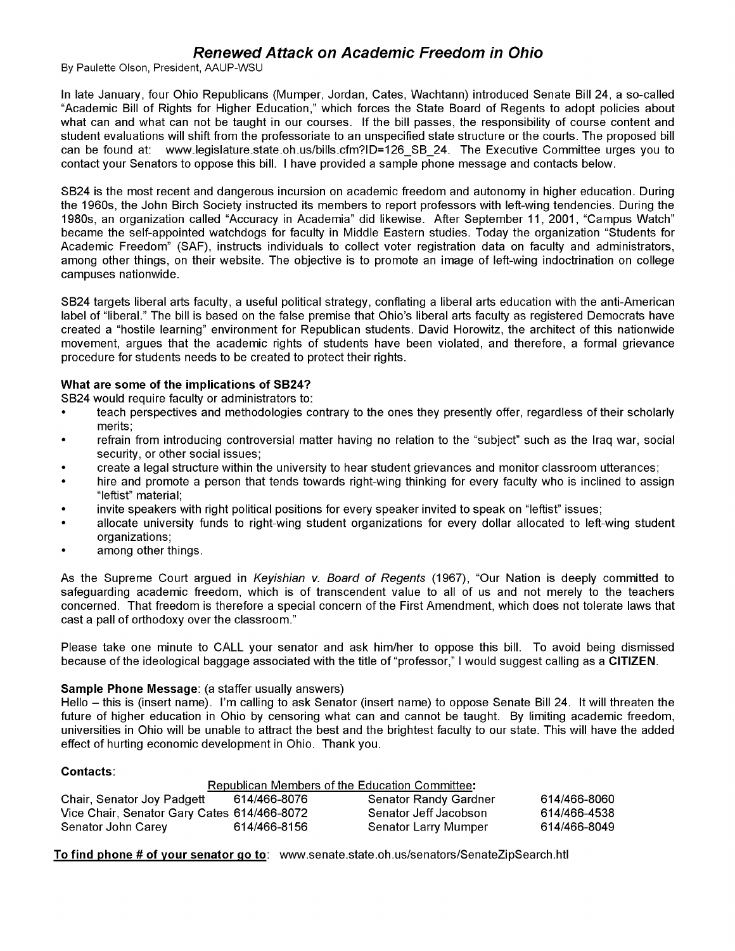### Renewed Attack on Academic Freedom in Ohio

By Paulette Olson, President, AAUP-WSU

In late January, four Ohio Republicans (Mumper, Jordan, Cates, Wachtann) introduced Senate Bill 24, a so-called "Academic Bill of Rights for Higher Education," which forces the State Board of Regents to adopt policies about what can and what can not be taught in our courses. If the bill passes, the responsibility of course content and student evaluations will shift from the professoriate to an unspecified state structure or the courts. The proposed bill can be found at: www.legislature.state.oh.us/bills.cfm?ID=126\_SB\_24. The Executive Committee urges you to contact your Senators to oppose this bill. I have provided a sample phone message and contacts below.

SB24 is the most recent and dangerous incursion on academic freedom and autonomy in higher education. During the 1960s, the John Birch Society instructed its members to report professors with left-wing tendencies. During the 1980s, an organization called "Accuracy in Academia" did likewise. After September 11, 2001, "Campus Watch" became the self-appointed watchdogs for faculty in Middle Eastern studies. Today the organization "Students for Academic Freedom" (SAF), instructs individuals to collect voter registration data on faculty and administrators, among other things, on their website. The objective is to promote an image of left-wing indoctrination on college campuses nationwide.

SB24 targets liberal arts faculty, a useful political strategy, conflating a liberal arts education with the anti-American label of "liberal." The bill is based on the false premise that Ohio's liberal arts faculty as registered Democrats have created a "hostile learning" environment for Republican students. David Horowitz, the architect of this nationwide movement, argues that the academic rights of students have been violated, and therefore, a formal grievance procedure for students needs to be created to protect their rights.

#### What are some of the implications of S824?

SB24 would require faculty or administrators to:

- teach perspectives and methodologies contrary to the ones they presently offer, regardless of their scholarly merits;
- refrain from introducing controversial matter having no relation to the "subject" such as the Iraq war, social security, or other social issues;
- create a legal structure within the university to hear student grievances and monitor classroom utterances;
- hire and promote a person that tends towards right-wing thinking for every faculty who is inclined to assign "leftist" material;
- invite speakers with right political positions for every speaker invited to speak on "leftist" issues;
- allocate university funds to right-wing student organizations for every dollar allocated to left-wing student organizations;
- among other things.

As the Supreme Court argued in Keyishian v. Board of Regents (1967), "Our Nation is deeply committed to safeguarding academic freedom, which is of transcendent value to all of us and not merely to the teachers concerned. That freedom is therefore a special concern of the First Amendment, which does not tolerate laws that cast a pall of orthodoxy over the classroom."

Please take one minute to CALL your senator and ask him/her to oppose this bill. To avoid being dismissed because of the ideological baggage associated with the title of "professor," I would suggest calling as a CITIZEN.

#### Sample Phone Message: (a staffer usually answers)

Hello - this is (insert name). I'm calling to ask Senator (insert name) to oppose Senate Bill 24. It will threaten the future of higher education in Ohio by censoring what can and cannot be taught. By limiting academic freedom, universities in Ohio will be unable to attract the best and the brightest faculty to our state. This will have the added effect of hurting economic development in Ohio. Thank you.

#### Contacts:

|                                             |              | Republican Members of the Education Committee: |              |
|---------------------------------------------|--------------|------------------------------------------------|--------------|
| Chair, Senator Joy Padgett                  | 614/466-8076 | <b>Senator Randy Gardner</b>                   | 614/466-8060 |
| Vice Chair, Senator Gary Cates 614/466-8072 |              | Senator Jeff Jacobson                          | 614/466-4538 |
| Senator John Carev                          | 614/466-8156 | Senator Larry Mumper                           | 614/466-8049 |

To find phone # of your senator go to: www.senate.state.oh.us/senators/SenateZipSearch.htl